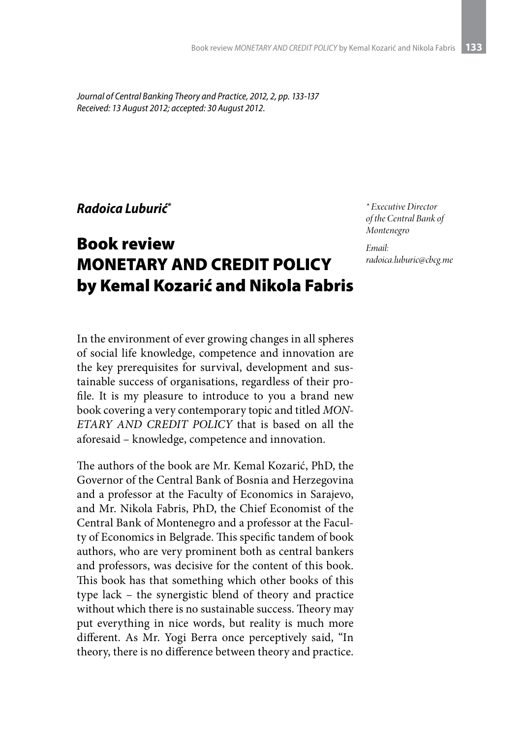*Journal of Central Banking Theory and Practice, 2012, 2, pp. 133-137 Received: 13 August 2012; accepted: 30 August 2012.*

## *Radoica Luburić\**

## Book review MONETARY AND CREDIT POLICY by Kemal Kozarić and Nikola Fabris

*\* Executive Director of the Central Bank of Montenegro*

*Email: radoica.luburic@cbcg.me* 

In the environment of ever growing changes in all spheres of social life knowledge, competence and innovation are the key prerequisites for survival, development and sustainable success of organisations, regardless of their profile. It is my pleasure to introduce to you a brand new book covering a very contemporary topic and titled *MON-ETARY AND CREDIT POLICY* that is based on all the aforesaid – knowledge, competence and innovation.

The authors of the book are Mr. Kemal Kozarić, PhD, the Governor of the Central Bank of Bosnia and Herzegovina and a professor at the Faculty of Economics in Sarajevo, and Mr. Nikola Fabris, PhD, the Chief Economist of the Central Bank of Montenegro and a professor at the Faculty of Economics in Belgrade. This specific tandem of book authors, who are very prominent both as central bankers and professors, was decisive for the content of this book. This book has that something which other books of this type lack – the synergistic blend of theory and practice without which there is no sustainable success. Theory may put everything in nice words, but reality is much more different. As Mr. Yogi Berra once perceptively said, "In theory, there is no difference between theory and practice.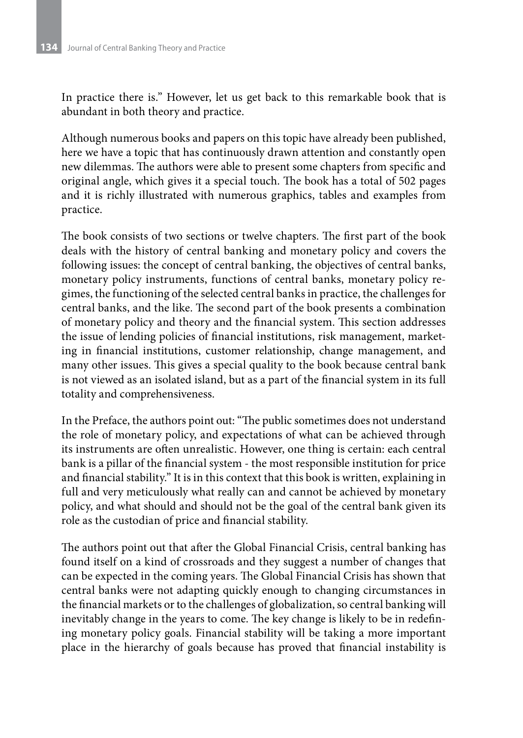In practice there is." However, let us get back to this remarkable book that is abundant in both theory and practice.

Although numerous books and papers on this topic have already been published, here we have a topic that has continuously drawn attention and constantly open new dilemmas. The authors were able to present some chapters from specific and original angle, which gives it a special touch. The book has a total of 502 pages and it is richly illustrated with numerous graphics, tables and examples from practice.

The book consists of two sections or twelve chapters. The first part of the book deals with the history of central banking and monetary policy and covers the following issues: the concept of central banking, the objectives of central banks, monetary policy instruments, functions of central banks, monetary policy regimes, the functioning of the selected central banks in practice, the challenges for central banks, and the like. The second part of the book presents a combination of monetary policy and theory and the financial system. This section addresses the issue of lending policies of financial institutions, risk management, marketing in financial institutions, customer relationship, change management, and many other issues. This gives a special quality to the book because central bank is not viewed as an isolated island, but as a part of the financial system in its full totality and comprehensiveness.

In the Preface, the authors point out: "The public sometimes does not understand the role of monetary policy, and expectations of what can be achieved through its instruments are often unrealistic. However, one thing is certain: each central bank is a pillar of the financial system - the most responsible institution for price and financial stability." It is in this context that this book is written, explaining in full and very meticulously what really can and cannot be achieved by monetary policy, and what should and should not be the goal of the central bank given its role as the custodian of price and financial stability.

The authors point out that after the Global Financial Crisis, central banking has found itself on a kind of crossroads and they suggest a number of changes that can be expected in the coming years. The Global Financial Crisis has shown that central banks were not adapting quickly enough to changing circumstances in the financial markets or to the challenges of globalization, so central banking will inevitably change in the years to come. The key change is likely to be in redefining monetary policy goals. Financial stability will be taking a more important place in the hierarchy of goals because has proved that financial instability is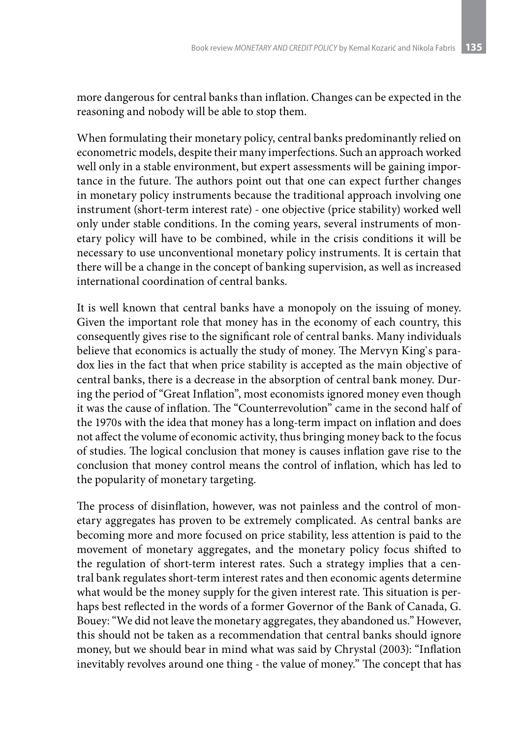more dangerous for central banks than inflation. Changes can be expected in the reasoning and nobody will be able to stop them.

When formulating their monetary policy, central banks predominantly relied on econometric models, despite their many imperfections. Such an approach worked well only in a stable environment, but expert assessments will be gaining importance in the future. The authors point out that one can expect further changes in monetary policy instruments because the traditional approach involving one instrument (short-term interest rate) - one objective (price stability) worked well only under stable conditions. In the coming years, several instruments of monetary policy will have to be combined, while in the crisis conditions it will be necessary to use unconventional monetary policy instruments. It is certain that there will be a change in the concept of banking supervision, as well as increased international coordination of central banks.

It is well known that central banks have a monopoly on the issuing of money. Given the important role that money has in the economy of each country, this consequently gives rise to the significant role of central banks. Many individuals believe that economics is actually the study of money. The Mervyn King`s paradox lies in the fact that when price stability is accepted as the main objective of central banks, there is a decrease in the absorption of central bank money. During the period of "Great Inflation", most economists ignored money even though it was the cause of inflation. The "Counterrevolution" came in the second half of the 1970s with the idea that money has a long-term impact on inflation and does not affect the volume of economic activity, thus bringing money back to the focus of studies. The logical conclusion that money is causes inflation gave rise to the conclusion that money control means the control of inflation, which has led to the popularity of monetary targeting.

The process of disinflation, however, was not painless and the control of monetary aggregates has proven to be extremely complicated. As central banks are becoming more and more focused on price stability, less attention is paid to the movement of monetary aggregates, and the monetary policy focus shifted to the regulation of short-term interest rates. Such a strategy implies that a central bank regulates short-term interest rates and then economic agents determine what would be the money supply for the given interest rate. This situation is perhaps best reflected in the words of a former Governor of the Bank of Canada, G. Bouey: "We did not leave the monetary aggregates, they abandoned us." However, this should not be taken as a recommendation that central banks should ignore money, but we should bear in mind what was said by Chrystal (2003): "Inflation inevitably revolves around one thing - the value of money." The concept that has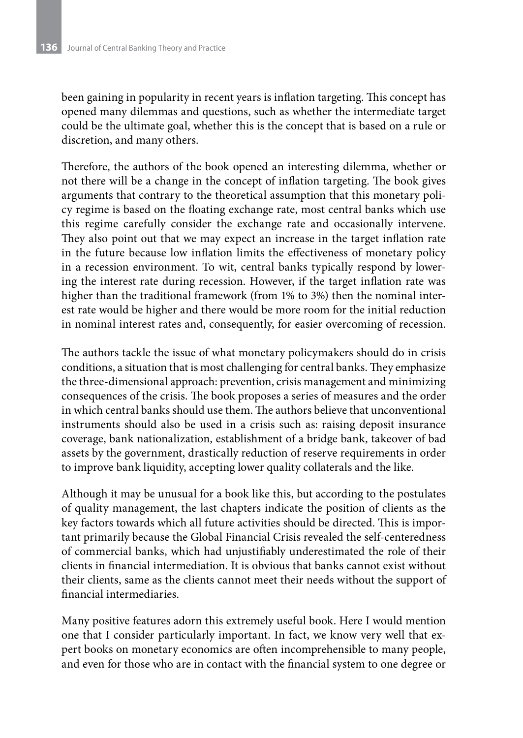been gaining in popularity in recent years is inflation targeting. This concept has opened many dilemmas and questions, such as whether the intermediate target could be the ultimate goal, whether this is the concept that is based on a rule or discretion, and many others.

Therefore, the authors of the book opened an interesting dilemma, whether or not there will be a change in the concept of inflation targeting. The book gives arguments that contrary to the theoretical assumption that this monetary policy regime is based on the floating exchange rate, most central banks which use this regime carefully consider the exchange rate and occasionally intervene. They also point out that we may expect an increase in the target inflation rate in the future because low inflation limits the effectiveness of monetary policy in a recession environment. To wit, central banks typically respond by lowering the interest rate during recession. However, if the target inflation rate was higher than the traditional framework (from 1% to 3%) then the nominal interest rate would be higher and there would be more room for the initial reduction in nominal interest rates and, consequently, for easier overcoming of recession.

The authors tackle the issue of what monetary policymakers should do in crisis conditions, a situation that is most challenging for central banks. They emphasize the three-dimensional approach: prevention, crisis management and minimizing consequences of the crisis. The book proposes a series of measures and the order in which central banks should use them. The authors believe that unconventional instruments should also be used in a crisis such as: raising deposit insurance coverage, bank nationalization, establishment of a bridge bank, takeover of bad assets by the government, drastically reduction of reserve requirements in order to improve bank liquidity, accepting lower quality collaterals and the like.

Although it may be unusual for a book like this, but according to the postulates of quality management, the last chapters indicate the position of clients as the key factors towards which all future activities should be directed. This is important primarily because the Global Financial Crisis revealed the self-centeredness of commercial banks, which had unjustifiably underestimated the role of their clients in financial intermediation. It is obvious that banks cannot exist without their clients, same as the clients cannot meet their needs without the support of financial intermediaries.

Many positive features adorn this extremely useful book. Here I would mention one that I consider particularly important. In fact, we know very well that expert books on monetary economics are often incomprehensible to many people, and even for those who are in contact with the financial system to one degree or